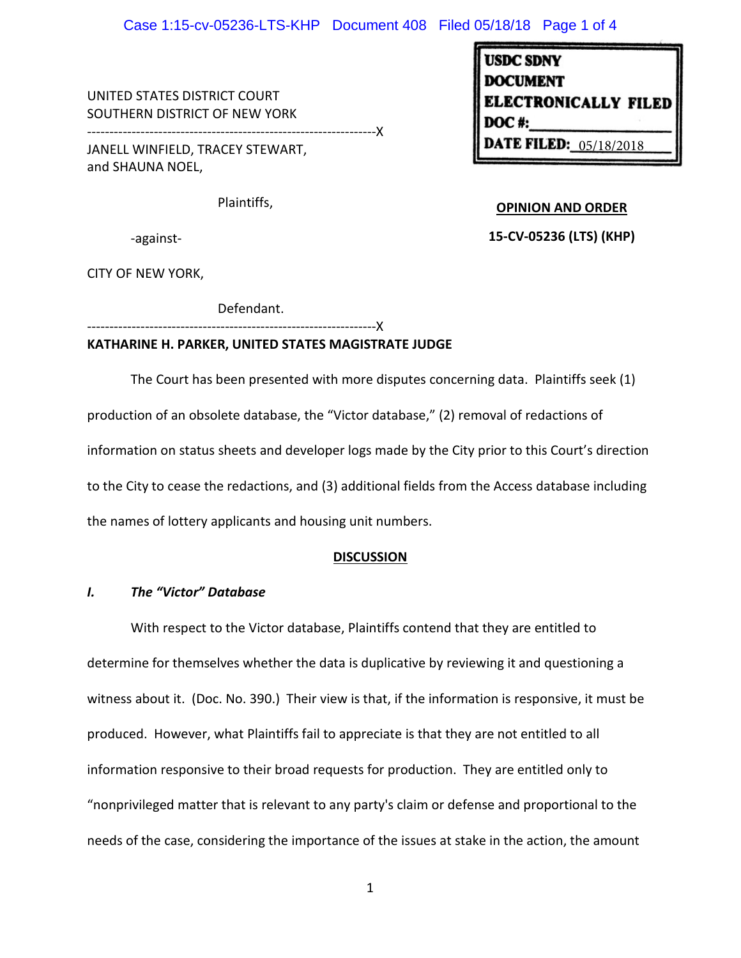UNITED STATES DISTRICT COURT SOUTHERN DISTRICT OF NEW YORK

-----------------------------------------------------------------X JANELL WINFIELD, TRACEY STEWART,

and SHAUNA NOEL,

Plaintiffs,

**OPINION AND ORDER**

**DATE FILED: 05/18/2018** 

**ELECTRONICALLY FILED** 

**USDC SDNY** DOCUMENT

DOC #:

-against-

**15-CV-05236 (LTS) (KHP)**

CITY OF NEW YORK,

Defendant.

-----------------------------------------------------------------X

## **KATHARINE H. PARKER, UNITED STATES MAGISTRATE JUDGE**

The Court has been presented with more disputes concerning data. Plaintiffs seek (1) production of an obsolete database, the "Victor database," (2) removal of redactions of information on status sheets and developer logs made by the City prior to this Court's direction to the City to cease the redactions, and (3) additional fields from the Access database including the names of lottery applicants and housing unit numbers.

# **DISCUSSION**

# *I. The "Victor" Database*

With respect to the Victor database, Plaintiffs contend that they are entitled to determine for themselves whether the data is duplicative by reviewing it and questioning a witness about it. (Doc. No. 390.) Their view is that, if the information is responsive, it must be produced. However, what Plaintiffs fail to appreciate is that they are not entitled to all information responsive to their broad requests for production. They are entitled only to "nonprivileged matter that is relevant to any party's claim or defense and proportional to the needs of the case, considering the importance of the issues at stake in the action, the amount

1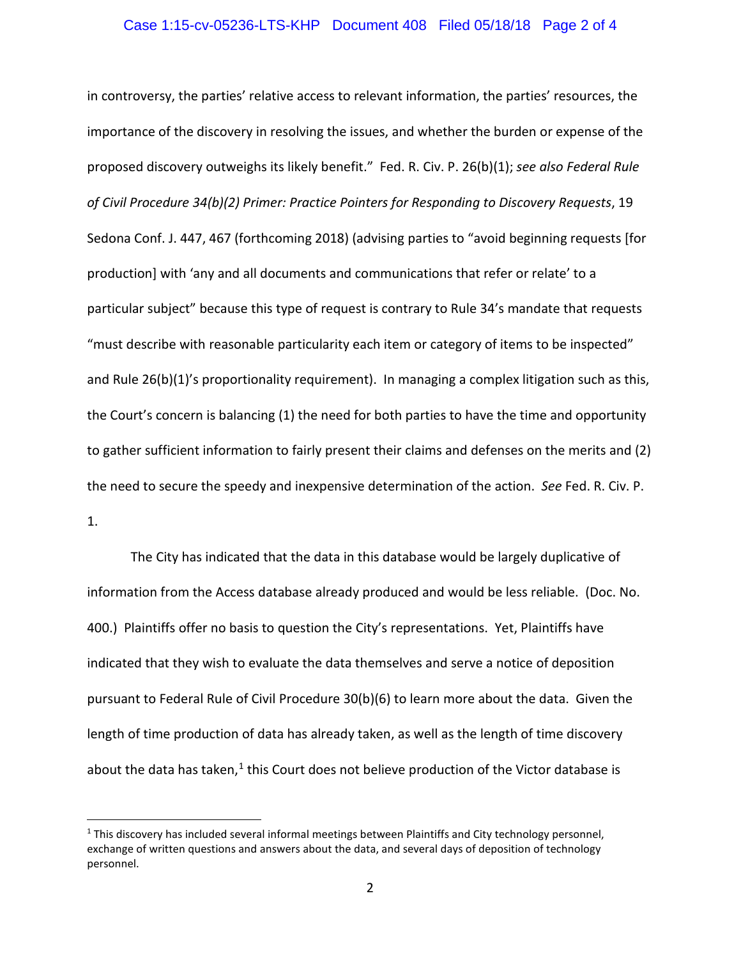# Case 1:15-cv-05236-LTS-KHP Document 408 Filed 05/18/18 Page 2 of 4

in controversy, the parties' relative access to relevant information, the parties' resources, the importance of the discovery in resolving the issues, and whether the burden or expense of the proposed discovery outweighs its likely benefit." Fed. R. Civ. P. 26(b)(1); *see also Federal Rule of Civil Procedure 34(b)(2) Primer: Practice Pointers for Responding to Discovery Requests*, 19 Sedona Conf. J. 447, 467 (forthcoming 2018) (advising parties to "avoid beginning requests [for production] with 'any and all documents and communications that refer or relate' to a particular subject" because this type of request is contrary to Rule 34's mandate that requests "must describe with reasonable particularity each item or category of items to be inspected" and Rule 26(b)(1)'s proportionality requirement). In managing a complex litigation such as this, the Court's concern is balancing (1) the need for both parties to have the time and opportunity to gather sufficient information to fairly present their claims and defenses on the merits and (2) the need to secure the speedy and inexpensive determination of the action. *See* Fed. R. Civ. P. 1.

The City has indicated that the data in this database would be largely duplicative of information from the Access database already produced and would be less reliable. (Doc. No. 400.) Plaintiffs offer no basis to question the City's representations. Yet, Plaintiffs have indicated that they wish to evaluate the data themselves and serve a notice of deposition pursuant to Federal Rule of Civil Procedure 30(b)(6) to learn more about the data. Given the length of time production of data has already taken, as well as the length of time discovery about the data has taken, $1$  this Court does not believe production of the Victor database is

<span id="page-1-0"></span> $1$  This discovery has included several informal meetings between Plaintiffs and City technology personnel, exchange of written questions and answers about the data, and several days of deposition of technology personnel.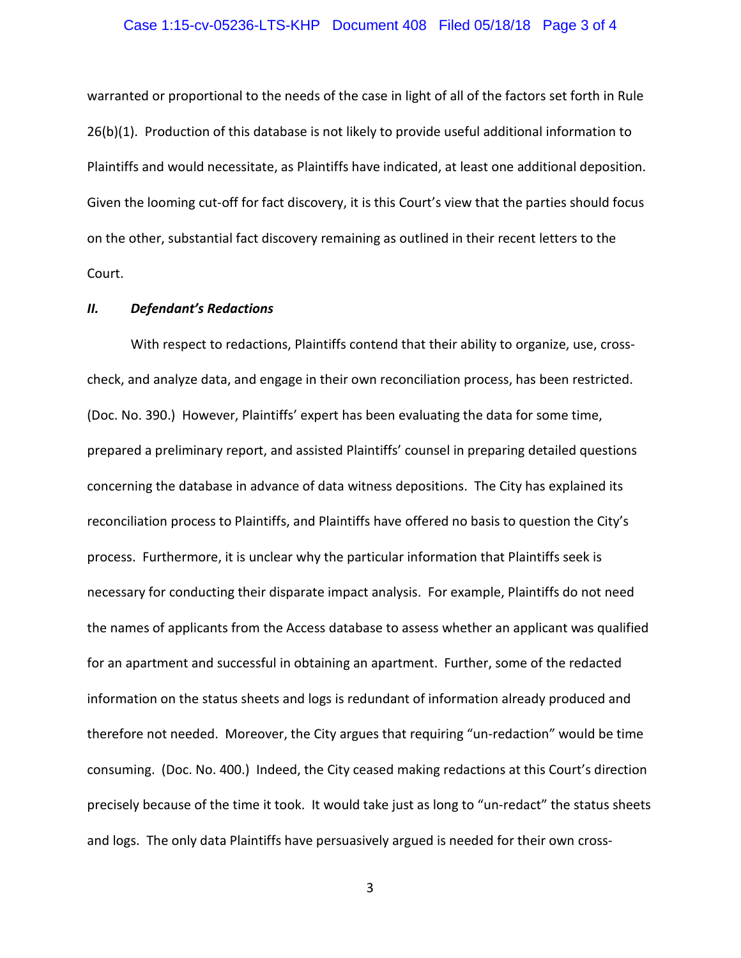#### Case 1:15-cv-05236-LTS-KHP Document 408 Filed 05/18/18 Page 3 of 4

warranted or proportional to the needs of the case in light of all of the factors set forth in Rule 26(b)(1). Production of this database is not likely to provide useful additional information to Plaintiffs and would necessitate, as Plaintiffs have indicated, at least one additional deposition. Given the looming cut-off for fact discovery, it is this Court's view that the parties should focus on the other, substantial fact discovery remaining as outlined in their recent letters to the Court.

#### *II. Defendant's Redactions*

With respect to redactions, Plaintiffs contend that their ability to organize, use, crosscheck, and analyze data, and engage in their own reconciliation process, has been restricted. (Doc. No. 390.) However, Plaintiffs' expert has been evaluating the data for some time, prepared a preliminary report, and assisted Plaintiffs' counsel in preparing detailed questions concerning the database in advance of data witness depositions. The City has explained its reconciliation process to Plaintiffs, and Plaintiffs have offered no basis to question the City's process. Furthermore, it is unclear why the particular information that Plaintiffs seek is necessary for conducting their disparate impact analysis. For example, Plaintiffs do not need the names of applicants from the Access database to assess whether an applicant was qualified for an apartment and successful in obtaining an apartment. Further, some of the redacted information on the status sheets and logs is redundant of information already produced and therefore not needed. Moreover, the City argues that requiring "un-redaction" would be time consuming. (Doc. No. 400.) Indeed, the City ceased making redactions at this Court's direction precisely because of the time it took. It would take just as long to "un-redact" the status sheets and logs. The only data Plaintiffs have persuasively argued is needed for their own cross-

3